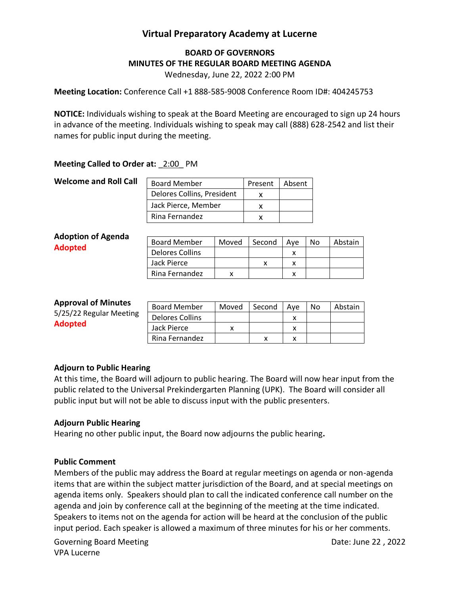# **Virtual Preparatory Academy at Lucerne**

## **BOARD OF GOVERNORS MINUTES OF THE REGULAR BOARD MEETING AGENDA**

Wednesday, June 22, 2022 2:00 PM

**Meeting Location:** Conference Call +1 888-585-9008 Conference Room ID#: 404245753

**NOTICE:** Individuals wishing to speak at the Board Meeting are encouraged to sign up 24 hours in advance of the meeting. Individuals wishing to speak may call (888) 628-2542 and list their names for public input during the meeting.

### **Meeting Called to Order at: 2:00 PM**

| <b>Welcome and Roll Call</b> | <b>Board Member</b>        | Present | Absent |
|------------------------------|----------------------------|---------|--------|
|                              | Delores Collins, President |         |        |
|                              | Jack Pierce, Member        |         |        |
|                              | Rina Fernandez             |         |        |

| <b>Board Member</b> | Moved | Second | Ave | No | Abstain |
|---------------------|-------|--------|-----|----|---------|
| Delores Collins     |       |        | x   |    |         |
| Jack Pierce         |       |        |     |    |         |
| Rina Fernandez      |       |        | x   |    |         |
|                     |       |        |     |    |         |

#### **Approval of Minutes**

| <b>ANNI UVAI UI IVIIIIULCJ</b> | <b>Board Member</b> | Moved | Second | Ave | No. | Abstain |
|--------------------------------|---------------------|-------|--------|-----|-----|---------|
| 5/25/22 Regular Meeting        | Delores Collins     |       |        |     |     |         |
| <b>Adopted</b>                 | Jack Pierce         |       |        |     |     |         |
|                                | Rina Fernandez      |       |        |     |     |         |

#### **Adjourn to Public Hearing**

At this time, the Board will adjourn to public hearing. The Board will now hear input from the public related to the Universal Prekindergarten Planning (UPK). The Board will consider all public input but will not be able to discuss input with the public presenters.

#### **Adjourn Public Hearing**

Hearing no other public input, the Board now adjourns the public hearing**.** 

#### **Public Comment**

Members of the public may address the Board at regular meetings on agenda or non-agenda items that are within the subject matter jurisdiction of the Board, and at special meetings on agenda items only. Speakers should plan to call the indicated conference call number on the agenda and join by conference call at the beginning of the meeting at the time indicated. Speakers to items not on the agenda for action will be heard at the conclusion of the public input period. Each speaker is allowed a maximum of three minutes for his or her comments.

Governing Board Meeting **Date: June 22, 2022** VPA Lucerne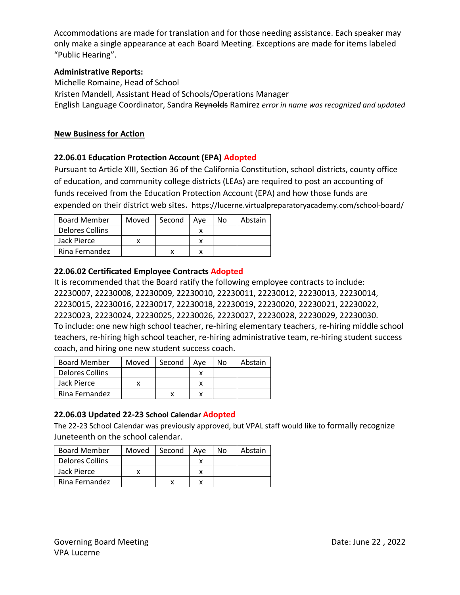Accommodations are made for translation and for those needing assistance. Each speaker may only make a single appearance at each Board Meeting. Exceptions are made for items labeled "Public Hearing".

## **Administrative Reports:**

Michelle Romaine, Head of School Kristen Mandell, Assistant Head of Schools/Operations Manager English Language Coordinator, Sandra Reynolds Ramirez *error in name was recognized and updated*

### **New Business for Action**

### **22.06.01 Education Protection Account (EPA) Adopted**

Pursuant to Article XIII, Section 36 of the California Constitution, school districts, county office of education, and community college districts (LEAs) are required to post an accounting of funds received from the Education Protection Account (EPA) and how those funds are expended on their district web sites**.** https://lucerne.virtualpreparatoryacademy.com/school-board/

| <b>Board Member</b> | Moved | Second | Ave | N٥ | Abstain |
|---------------------|-------|--------|-----|----|---------|
| Delores Collins     |       |        |     |    |         |
| Jack Pierce         |       |        |     |    |         |
| Rina Fernandez      |       |        |     |    |         |

### **22.06.02 Certificated Employee Contracts Adopted**

It is recommended that the Board ratify the following employee contracts to include: 22230007, 22230008, 22230009, 22230010, 22230011, 22230012, 22230013, 22230014, 22230015, 22230016, 22230017, 22230018, 22230019, 22230020, 22230021, 22230022, 22230023, 22230024, 22230025, 22230026, 22230027, 22230028, 22230029, 22230030. To include: one new high school teacher, re-hiring elementary teachers, re-hiring middle school teachers, re-hiring high school teacher, re-hiring administrative team, re-hiring student success coach, and hiring one new student success coach.

| <b>Board Member</b> | Moved | Second | Ave | No. | Abstain |
|---------------------|-------|--------|-----|-----|---------|
| Delores Collins     |       |        |     |     |         |
| Jack Pierce         |       |        |     |     |         |
| Rina Fernandez      |       |        |     |     |         |

## **22.06.03 Updated 22-23 School Calendar Adopted**

The 22-23 School Calendar was previously approved, but VPAL staff would like to formally recognize Juneteenth on the school calendar.

| <b>Board Member</b> | Moved | Second | Ave | N٥ | Abstain |
|---------------------|-------|--------|-----|----|---------|
| Delores Collins     |       |        |     |    |         |
| Jack Pierce         |       |        |     |    |         |
| Rina Fernandez      |       |        |     |    |         |